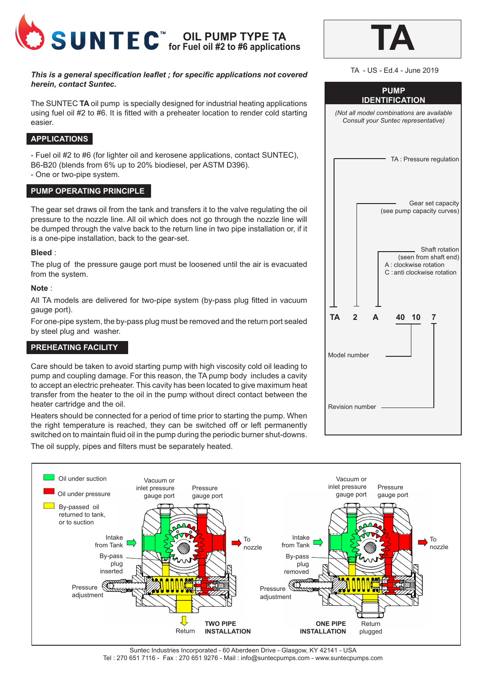

#### *This is a general specification leaflet ; for specific applications not covered herein, contact Suntec.*

The SUNTEC **TA** oil pump is specially designed for industrial heating applications using fuel oil #2 to #6. It is fitted with a preheater location to render cold starting easier.

# **APPLICATIONS**

- Fuel oil #2 to #6 (for lighter oil and kerosene applications, contact SUNTEC), B6-B20 (blends from 6% up to 20% biodiesel, per ASTM D396).

- One or two-pipe system.

## **PUMP OPERATING PRINCIPLE**

The gear set draws oil from the tank and transfers it to the valve regulating the oil pressure to the nozzle line. All oil which does not go through the nozzle line will be dumped through the valve back to the return line in two pipe installation or, if it is a one-pipe installation, back to the gear-set.

#### **Bleed** :

The plug of the pressure gauge port must be loosened until the air is evacuated from the system.

#### **Note** :

All TA models are delivered for two-pipe system (by-pass plug fitted in vacuum gauge port).

For one-pipe system, the by-pass plug must be removed and the return port sealed by steel plug and washer.

## **PREHEATING FACILITY**

Care should be taken to avoid starting pump with high viscosity cold oil leading to pump and coupling damage. For this reason, the TA pump body includes a cavity to accept an electric preheater. This cavity has been located to give maximum heat transfer from the heater to the oil in the pump without direct contact between the heater cartridge and the oil.

Heaters should be connected for a period of time prior to starting the pump. When the right temperature is reached, they can be switched off or left permanently switched on to maintain fluid oil in the pump during the periodic burner shut-downs. The oil supply, pipes and filters must be separately heated.

| TA - US - Ed.4 - June 2019                                                                       |  |  |  |
|--------------------------------------------------------------------------------------------------|--|--|--|
| <b>PUMP</b><br><b>IDENTIFICATION</b>                                                             |  |  |  |
| (Not all model combinations are available<br>Consult your Suntec representative)                 |  |  |  |
| TA: Pressure regulation                                                                          |  |  |  |
| Gear set capacity<br>(see pump capacity curves)                                                  |  |  |  |
| Shaft rotation<br>(seen from shaft end)<br>A : clockwise rotation<br>C : anti clockwise rotation |  |  |  |
| <b>TA</b><br>$\mathbf{2}$<br>40 10<br>A<br>7                                                     |  |  |  |
| Model number                                                                                     |  |  |  |
| Revision number                                                                                  |  |  |  |

**TA**



Suntec Industries Incorporated - 60 Aberdeen Drive - Glasgow, KY 42141 - USA Tel : 270 651 7116 - Fax : 270 651 9276 - Mail : info@suntecpumps.com - www.suntecpumps.com